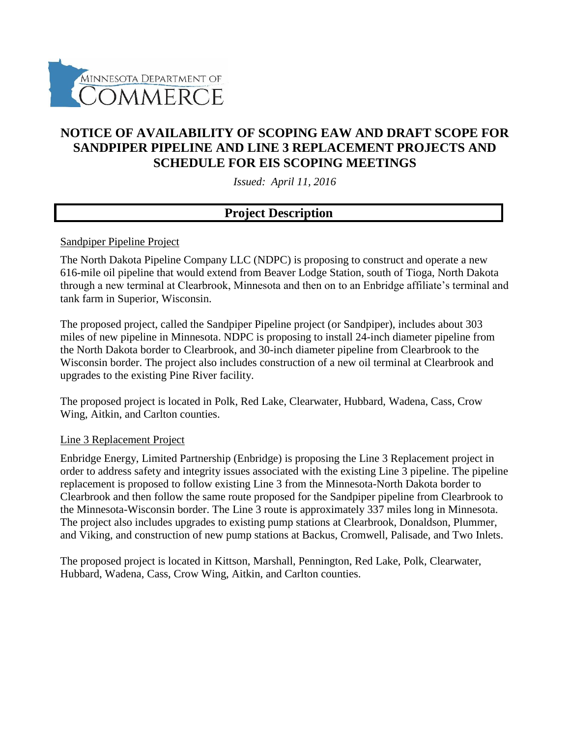

## **NOTICE OF AVAILABILITY OF SCOPING EAW AND DRAFT SCOPE FOR SANDPIPER PIPELINE AND LINE 3 REPLACEMENT PROJECTS AND SCHEDULE FOR EIS SCOPING MEETINGS**

*Issued: April 11, 2016*

### **Project Description**

#### Sandpiper Pipeline Project

The North Dakota Pipeline Company LLC (NDPC) is proposing to construct and operate a new 616-mile oil pipeline that would extend from Beaver Lodge Station, south of Tioga, North Dakota through a new terminal at Clearbrook, Minnesota and then on to an Enbridge affiliate's terminal and tank farm in Superior, Wisconsin.

The proposed project, called the Sandpiper Pipeline project (or Sandpiper), includes about 303 miles of new pipeline in Minnesota. NDPC is proposing to install 24-inch diameter pipeline from the North Dakota border to Clearbrook, and 30-inch diameter pipeline from Clearbrook to the Wisconsin border. The project also includes construction of a new oil terminal at Clearbrook and upgrades to the existing Pine River facility.

The proposed project is located in Polk, Red Lake, Clearwater, Hubbard, Wadena, Cass, Crow Wing, Aitkin, and Carlton counties.

#### Line 3 Replacement Project

Enbridge Energy, Limited Partnership (Enbridge) is proposing the Line 3 Replacement project in order to address safety and integrity issues associated with the existing Line 3 pipeline. The pipeline replacement is proposed to follow existing Line 3 from the Minnesota-North Dakota border to Clearbrook and then follow the same route proposed for the Sandpiper pipeline from Clearbrook to the Minnesota-Wisconsin border. The Line 3 route is approximately 337 miles long in Minnesota. The project also includes upgrades to existing pump stations at Clearbrook, Donaldson, Plummer, and Viking, and construction of new pump stations at Backus, Cromwell, Palisade, and Two Inlets.

The proposed project is located in Kittson, Marshall, Pennington, Red Lake, Polk, Clearwater, Hubbard, Wadena, Cass, Crow Wing, Aitkin, and Carlton counties.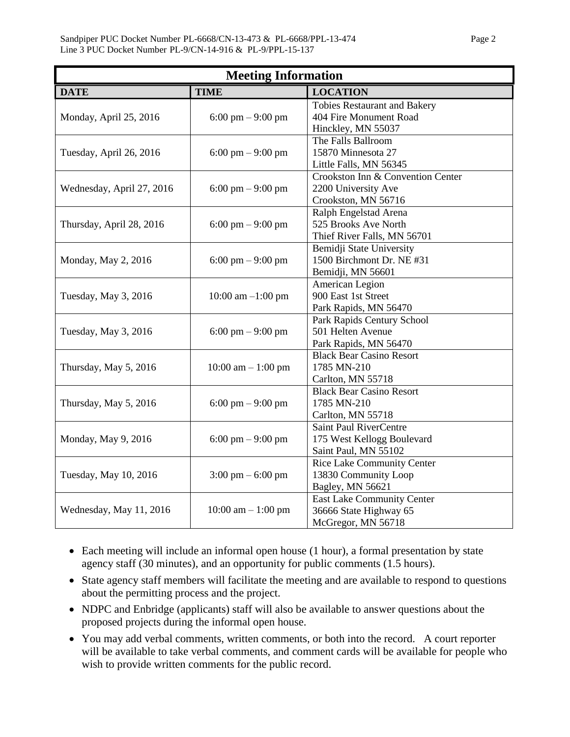| <b>Meeting Information</b> |                                     |                                     |  |  |  |  |  |  |
|----------------------------|-------------------------------------|-------------------------------------|--|--|--|--|--|--|
| <b>DATE</b>                | <b>TIME</b>                         | <b>LOCATION</b>                     |  |  |  |  |  |  |
|                            |                                     | <b>Tobies Restaurant and Bakery</b> |  |  |  |  |  |  |
| Monday, April 25, 2016     | $6:00 \text{ pm} - 9:00 \text{ pm}$ | 404 Fire Monument Road              |  |  |  |  |  |  |
|                            |                                     | Hinckley, MN 55037                  |  |  |  |  |  |  |
|                            |                                     | The Falls Ballroom                  |  |  |  |  |  |  |
| Tuesday, April 26, 2016    | $6:00 \text{ pm} - 9:00 \text{ pm}$ | 15870 Minnesota 27                  |  |  |  |  |  |  |
|                            |                                     | Little Falls, MN 56345              |  |  |  |  |  |  |
|                            |                                     | Crookston Inn & Convention Center   |  |  |  |  |  |  |
| Wednesday, April 27, 2016  | $6:00 \text{ pm} - 9:00 \text{ pm}$ | 2200 University Ave                 |  |  |  |  |  |  |
|                            |                                     | Crookston, MN 56716                 |  |  |  |  |  |  |
|                            |                                     | Ralph Engelstad Arena               |  |  |  |  |  |  |
| Thursday, April 28, 2016   | $6:00 \text{ pm} - 9:00 \text{ pm}$ | 525 Brooks Ave North                |  |  |  |  |  |  |
|                            |                                     | Thief River Falls, MN 56701         |  |  |  |  |  |  |
|                            |                                     | Bemidji State University            |  |  |  |  |  |  |
| Monday, May 2, 2016        | $6:00 \text{ pm} - 9:00 \text{ pm}$ | 1500 Birchmont Dr. NE #31           |  |  |  |  |  |  |
|                            |                                     | Bemidji, MN 56601                   |  |  |  |  |  |  |
|                            |                                     | American Legion                     |  |  |  |  |  |  |
| Tuesday, May 3, 2016       | $10:00$ am $-1:00$ pm               | 900 East 1st Street                 |  |  |  |  |  |  |
|                            |                                     | Park Rapids, MN 56470               |  |  |  |  |  |  |
|                            |                                     | Park Rapids Century School          |  |  |  |  |  |  |
| Tuesday, May 3, 2016       | $6:00 \text{ pm} - 9:00 \text{ pm}$ | 501 Helten Avenue                   |  |  |  |  |  |  |
|                            |                                     | Park Rapids, MN 56470               |  |  |  |  |  |  |
|                            |                                     | <b>Black Bear Casino Resort</b>     |  |  |  |  |  |  |
| Thursday, May 5, 2016      | $10:00$ am $- 1:00$ pm              | 1785 MN-210                         |  |  |  |  |  |  |
|                            |                                     | Carlton, MN 55718                   |  |  |  |  |  |  |
|                            |                                     | <b>Black Bear Casino Resort</b>     |  |  |  |  |  |  |
| Thursday, May 5, 2016      | $6:00 \text{ pm} - 9:00 \text{ pm}$ | 1785 MN-210                         |  |  |  |  |  |  |
|                            |                                     | Carlton, MN 55718                   |  |  |  |  |  |  |
|                            |                                     | Saint Paul RiverCentre              |  |  |  |  |  |  |
| Monday, May 9, 2016        | $6:00 \text{ pm} - 9:00 \text{ pm}$ | 175 West Kellogg Boulevard          |  |  |  |  |  |  |
|                            |                                     | Saint Paul, MN 55102                |  |  |  |  |  |  |
|                            |                                     | <b>Rice Lake Community Center</b>   |  |  |  |  |  |  |
| Tuesday, May 10, 2016      | $3:00 \text{ pm} - 6:00 \text{ pm}$ | 13830 Community Loop                |  |  |  |  |  |  |
|                            |                                     | Bagley, MN 56621                    |  |  |  |  |  |  |
|                            |                                     | <b>East Lake Community Center</b>   |  |  |  |  |  |  |
| Wednesday, May 11, 2016    | $10:00$ am $-1:00$ pm               | 36666 State Highway 65              |  |  |  |  |  |  |
|                            |                                     | McGregor, MN 56718                  |  |  |  |  |  |  |

- Each meeting will include an informal open house (1 hour), a formal presentation by state agency staff (30 minutes), and an opportunity for public comments (1.5 hours).
- State agency staff members will facilitate the meeting and are available to respond to questions about the permitting process and the project.
- NDPC and Enbridge (applicants) staff will also be available to answer questions about the proposed projects during the informal open house.
- You may add verbal comments, written comments, or both into the record. A court reporter will be available to take verbal comments, and comment cards will be available for people who wish to provide written comments for the public record.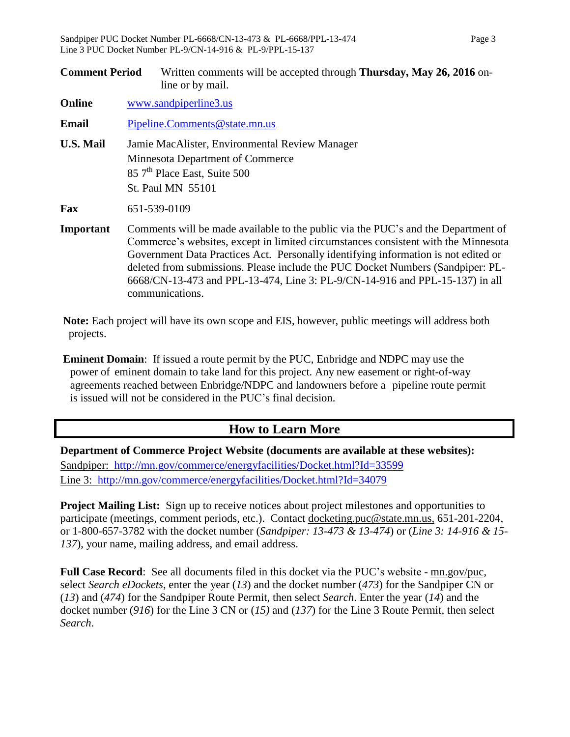| <b>Comment Period</b> |                               | Written comments will be accepted through Thursday, May 26, 2016 on-<br>line or by mail.                                                            |  |  |  |  |  |
|-----------------------|-------------------------------|-----------------------------------------------------------------------------------------------------------------------------------------------------|--|--|--|--|--|
| <b>Online</b>         |                               | www.sandpiperline3.us                                                                                                                               |  |  |  |  |  |
| Email                 | Pipeline.Comments@state.mn.us |                                                                                                                                                     |  |  |  |  |  |
| <b>U.S. Mail</b>      |                               | Jamie MacAlister, Environmental Review Manager<br>Minnesota Department of Commerce<br>85 7 <sup>th</sup> Place East, Suite 500<br>St. Paul MN 55101 |  |  |  |  |  |
| Fax                   |                               | 651-539-0109                                                                                                                                        |  |  |  |  |  |

**Important** Comments will be made available to the public via the PUC's and the Department of Commerce's websites, except in limited circumstances consistent with the Minnesota Government Data Practices Act. Personally identifying information is not edited or deleted from submissions. Please include the PUC Docket Numbers (Sandpiper: PL-6668/CN-13-473 and PPL-13-474, Line 3: PL-9/CN-14-916 and PPL-15-137) in all communications.

**Note:** Each project will have its own scope and EIS, however, public meetings will address both projects.

**Eminent Domain**: If issued a route permit by the PUC, Enbridge and NDPC may use the power of eminent domain to take land for this project. Any new easement or right-of-way agreements reached between Enbridge/NDPC and landowners before a pipeline route permit is issued will not be considered in the PUC's final decision.

### **How to Learn More**

**Department of Commerce Project Website (documents are available at these websites):**  Sandpiper: <http://mn.gov/commerce/energyfacilities/Docket.html?Id=33599> Line 3: http://mn.gov/commerce/energyfacilities/Docket.html?Id=34079

**Project Mailing List:** Sign up to receive notices about project milestones and opportunities to participate (meetings, comment periods, etc.). Contact [docketing.puc@state.mn.us,](mailto:docketing.puc@state.mn.us) 651-201-2204, or 1-800-657-3782 with the docket number (*Sandpiper: 13-473 & 13-474*) or (*Line 3: 14-916 & 15- 137*), your name, mailing address, and email address.

**Full Case Record**: See all documents filed in this docket via the PUC's website - <u>mn.gov/puc</u>, select *Search eDockets*, enter the year (*13*) and the docket number (*473*) for the Sandpiper CN or (*13*) and (*474*) for the Sandpiper Route Permit, then select *Search*. Enter the year (*14*) and the docket number (*916*) for the Line 3 CN or (*15)* and (*137*) for the Line 3 Route Permit, then select *Search*.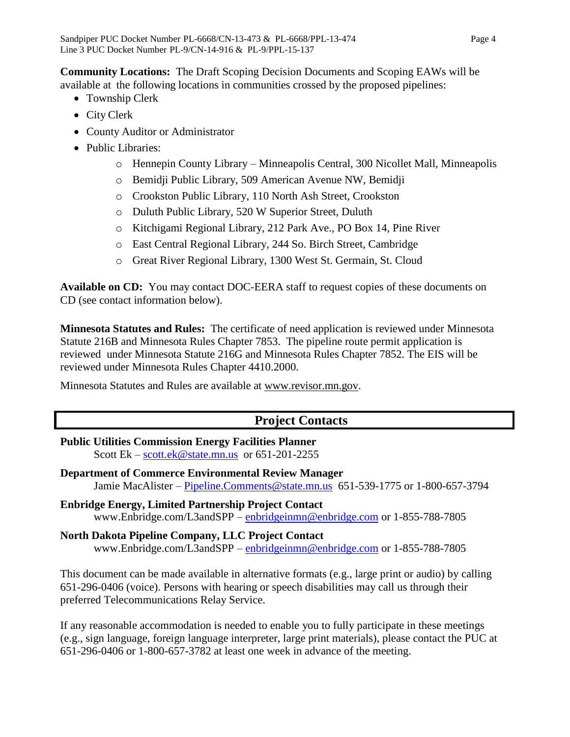**Community Locations:** The Draft Scoping Decision Documents and Scoping EAWs will be available at the following locations in communities crossed by the proposed pipelines:

- Township Clerk
- City Clerk
- County Auditor or Administrator
- Public Libraries:
	- o Hennepin County Library Minneapolis Central, 300 Nicollet Mall, Minneapolis
	- o Bemidji Public Library, 509 American Avenue NW, Bemidji
	- o Crookston Public Library, 110 North Ash Street, Crookston
	- o Duluth Public Library, 520 W Superior Street, Duluth
	- o Kitchigami Regional Library, 212 Park Ave., PO Box 14, Pine River
	- o East Central Regional Library, 244 So. Birch Street, Cambridge
	- o Great River Regional Library, 1300 West St. Germain, St. Cloud

**Available on CD:** You may contact DOC-EERA staff to request copies of these documents on CD (see contact information below).

**Minnesota Statutes and Rules:** The certificate of need application is reviewed under Minnesota Statute 216B and Minnesota Rules Chapter 7853. The pipeline route permit application is reviewed under Minnesota Statute 216G and Minnesota Rules Chapter 7852. The EIS will be reviewed under Minnesota Rules Chapter 4410.2000.

Minnesota Statutes and Rules are available at [www.revisor.mn.gov.](https://www.revisor.mn.gov/)

# **Project Contacts**

- **Public Utilities Commission Energy Facilities Planner** Scott Ek –  $\frac{\text{scott.ek@state.mn.us}}{\text{scott.ex@state.mn.us}}$  $\frac{\text{scott.ek@state.mn.us}}{\text{scott.ex@state.mn.us}}$  $\frac{\text{scott.ek@state.mn.us}}{\text{scott.ex@state.mn.us}}$  or 651-201-2255
- **Department of Commerce Environmental Review Manager** Jamie MacAlister – [Pipeline.Comments@state.mn.us](mailto:Pipeline.Comments@state.mn.us) 651-539-1775 or 1-800-657-3794
- **Enbridge Energy, Limited Partnership Project Contact** www.Enbridge.com/L3andSPP – [enbridgeinmn@enbridge.com](mailto:enbridgeinmn@enbridge.com) or 1-855-788-7805

**North Dakota Pipeline Company, LLC Project Contact** www.Enbridge.com/L3andSPP – [enbridgeinmn@enbridge.com](mailto:enbridgeinmn@enbridge.com) or 1-855-788-7805

This document can be made available in alternative formats (e.g., large print or audio) by calling 651-296-0406 (voice). Persons with hearing or speech disabilities may call us through their preferred Telecommunications Relay Service.

If any reasonable accommodation is needed to enable you to fully participate in these meetings (e.g., sign language, foreign language interpreter, large print materials), please contact the PUC at 651-296-0406 or 1-800-657-3782 at least one week in advance of the meeting.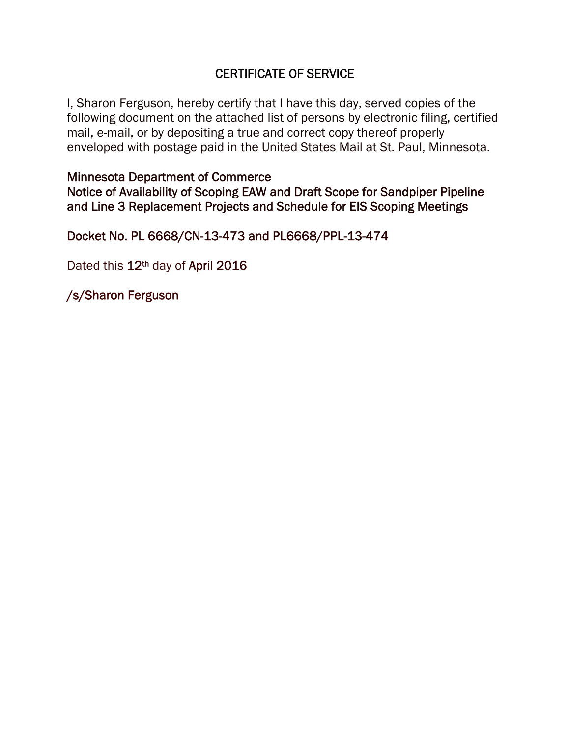# CERTIFICATE OF SERVICE

I, Sharon Ferguson, hereby certify that I have this day, served copies of the following document on the attached list of persons by electronic filing, certified mail, e-mail, or by depositing a true and correct copy thereof properly enveloped with postage paid in the United States Mail at St. Paul, Minnesota.

Minnesota Department of Commerce Notice of Availability of Scoping EAW and Draft Scope for Sandpiper Pipeline and Line 3 Replacement Projects and Schedule for EIS Scoping Meetings

Docket No. PL 6668/CN-13-473 and PL6668/PPL-13-474

Dated this 12<sup>th</sup> day of April 2016

/s/Sharon Ferguson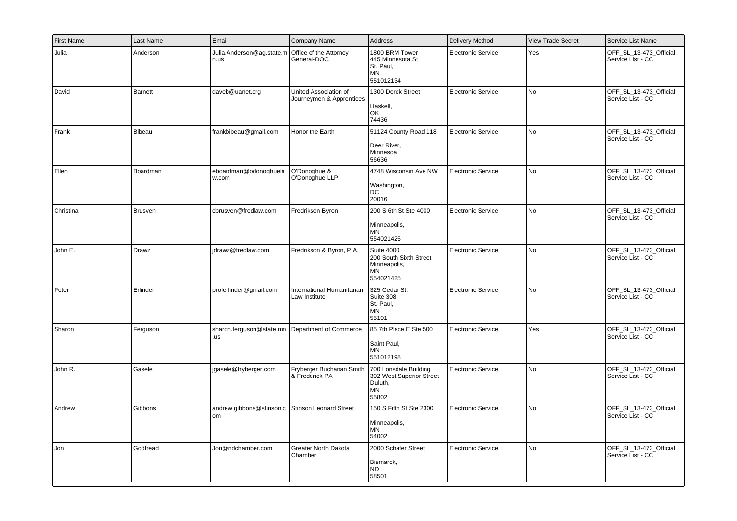| <b>First Name</b> | Last Name    | Email                             | Company Name                                      | <b>Address</b>                                                                 | <b>Delivery Method</b>    | <b>View Trade Secret</b> | Service List Name                           |
|-------------------|--------------|-----------------------------------|---------------------------------------------------|--------------------------------------------------------------------------------|---------------------------|--------------------------|---------------------------------------------|
| Julia             | Anderson     | Julia.Anderson@ag.state.m<br>n.us | Office of the Attorney<br>General-DOC             | 1800 BRM Tower<br>445 Minnesota St<br>St. Paul.<br>MN<br>551012134             | <b>Electronic Service</b> | Yes                      | OFF_SL_13-473_Official<br>Service List - CC |
| David             | Barnett      | daveb@uanet.org                   | United Association of<br>Journeymen & Apprentices | 1300 Derek Street<br>Haskell,<br>OK<br>74436                                   | <b>Electronic Service</b> | No.                      | OFF_SL_13-473_Official<br>Service List - CC |
| Frank             | Bibeau       | frankbibeau@gmail.com             | Honor the Earth                                   | 51124 County Road 118<br>Deer River,<br>Minnesoa<br>56636                      | <b>Electronic Service</b> | No                       | OFF_SL_13-473_Official<br>Service List - CC |
| Ellen             | Boardman     | eboardman@odonoghuela<br>w.com    | O'Donoghue &<br>O'Donoghue LLP                    | 4748 Wisconsin Ave NW<br>Washington,<br>DC<br>20016                            | Electronic Service        | No                       | OFF_SL_13-473_Official<br>Service List - CC |
| Christina         | Brusven      | cbrusven@fredlaw.com              | Fredrikson Byron                                  | 200 S 6th St Ste 4000<br>Minneapolis,<br>MN<br>554021425                       | <b>Electronic Service</b> | No                       | OFF_SL_13-473_Official<br>Service List - CC |
| John E.           | <b>Drawz</b> | jdrawz@fredlaw.com                | Fredrikson & Byron, P.A.                          | <b>Suite 4000</b><br>200 South Sixth Street<br>Minneapolis,<br>ΜN<br>554021425 | Electronic Service        | No.                      | OFF SL 13-473 Official<br>Service List - CC |
| Peter             | Erlinder     | proferlinder@gmail.com            | International Humanitarian<br>Law Institute       | 325 Cedar St.<br>Suite 308<br>St. Paul,<br><b>MN</b><br>55101                  | <b>Electronic Service</b> | No                       | OFF_SL_13-473_Official<br>Service List - CC |
| Sharon            | Ferguson     | sharon.ferguson@state.mn<br>.us   | Department of Commerce                            | 85 7th Place E Ste 500<br>Saint Paul,<br><b>MN</b><br>551012198                | <b>Electronic Service</b> | Yes                      | OFF_SL_13-473_Official<br>Service List - CC |
| John R.           | Gasele       | jgasele@fryberger.com             | Fryberger Buchanan Smith<br>& Frederick PA        | 700 Lonsdale Building<br>302 West Superior Street<br>Duluth,<br>MN<br>55802    | <b>Electronic Service</b> | No                       | OFF_SL_13-473_Official<br>Service List - CC |
| Andrew            | Gibbons      | andrew.gibbons@stinson.c<br>om    | <b>Stinson Leonard Street</b>                     | 150 S Fifth St Ste 2300<br>Minneapolis,<br><b>MN</b><br>54002                  | <b>Electronic Service</b> | No                       | OFF SL 13-473 Official<br>Service List - CC |
| Jon               | Godfread     | Jon@ndchamber.com                 | Greater North Dakota<br>Chamber                   | 2000 Schafer Street<br>Bismarck,<br>ND.<br>58501                               | <b>Electronic Service</b> | No                       | OFF_SL_13-473_Official<br>Service List - CC |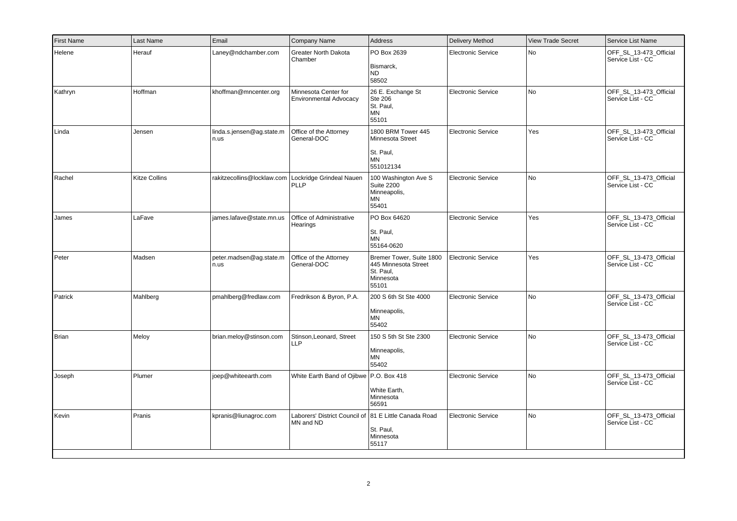| <b>First Name</b> | Last Name            | Email                             | Company Name                                                       | Address                                                                              | Delivery Method           | <b>View Trade Secret</b> | Service List Name                           |
|-------------------|----------------------|-----------------------------------|--------------------------------------------------------------------|--------------------------------------------------------------------------------------|---------------------------|--------------------------|---------------------------------------------|
| Helene            | Herauf               | Laney@ndchamber.com               | <b>Greater North Dakota</b><br>Chamber                             | PO Box 2639<br>Bismarck,<br>ND.<br>58502                                             | <b>Electronic Service</b> | No                       | OFF SL 13-473 Official<br>Service List - CC |
| Kathryn           | Hoffman              | khoffman@mncenter.org             | Minnesota Center for<br><b>Environmental Advocacy</b>              | 26 E. Exchange St<br><b>Ste 206</b><br>St. Paul,<br>MN<br>55101                      | <b>Electronic Service</b> | No                       | OFF_SL_13-473_Official<br>Service List - CC |
| Linda             | Jensen               | linda.s.jensen@ag.state.m<br>n.us | Office of the Attorney<br>General-DOC                              | 1800 BRM Tower 445<br><b>Minnesota Street</b><br>St. Paul,<br><b>MN</b><br>551012134 | <b>Electronic Service</b> | Yes                      | OFF_SL_13-473_Official<br>Service List - CC |
| Rachel            | <b>Kitze Collins</b> | rakitzecollins@locklaw.com        | Lockridge Grindeal Nauen<br>PLLP                                   | 100 Washington Ave S<br><b>Suite 2200</b><br>Minneapolis,<br>ΜN<br>55401             | <b>Electronic Service</b> | No.                      | OFF SL 13-473 Official<br>Service List - CC |
| James             | LaFave               | james.lafave@state.mn.us          | Office of Administrative<br>Hearings                               | PO Box 64620<br>St. Paul,<br><b>MN</b><br>55164-0620                                 | <b>Electronic Service</b> | Yes                      | OFF_SL_13-473_Official<br>Service List - CC |
| Peter             | Madsen               | peter.madsen@ag.state.m<br>n.us   | Office of the Attorney<br>General-DOC                              | Bremer Tower, Suite 1800<br>445 Minnesota Street<br>St. Paul,<br>Minnesota<br>55101  | <b>Electronic Service</b> | Yes                      | OFF_SL_13-473_Official<br>Service List - CC |
| Patrick           | Mahlberg             | pmahlberg@fredlaw.com             | Fredrikson & Byron, P.A.                                           | 200 S 6th St Ste 4000<br>Minneapolis,<br>MN<br>55402                                 | <b>Electronic Service</b> | No                       | OFF_SL_13-473_Official<br>Service List - CC |
| Brian             | Meloy                | brian.meloy@stinson.com           | Stinson, Leonard, Street<br><b>LLP</b>                             | 150 S 5th St Ste 2300<br>Minneapolis,<br><b>MN</b><br>55402                          | <b>Electronic Service</b> | No                       | OFF_SL_13-473_Official<br>Service List - CC |
| Joseph            | Plumer               | joep@whiteearth.com               | White Earth Band of Ojibwe   P.O. Box 418                          | White Earth,<br>Minnesota<br>56591                                                   | <b>Electronic Service</b> | No                       | OFF_SL_13-473_Official<br>Service List - CC |
| Kevin             | Pranis               | kpranis@liunagroc.com             | Laborers' District Council of 81 E Little Canada Road<br>MN and ND | St. Paul,<br>Minnesota<br>55117                                                      | Electronic Service        | No                       | OFF_SL_13-473_Official<br>Service List - CC |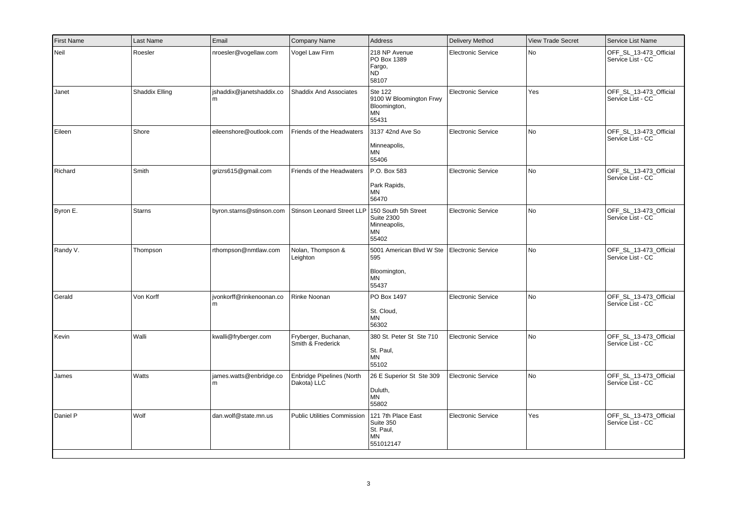| <b>First Name</b> | Last Name      | Email                          | Company Name                              | Address                                                                  | <b>Delivery Method</b>    | <b>View Trade Secret</b> | Service List Name                           |
|-------------------|----------------|--------------------------------|-------------------------------------------|--------------------------------------------------------------------------|---------------------------|--------------------------|---------------------------------------------|
| Neil              | Roesler        | nroesler@vogellaw.com          | Vogel Law Firm                            | 218 NP Avenue<br>PO Box 1389<br>Fargo,<br>ND<br>58107                    | <b>Electronic Service</b> | No                       | OFF SL 13-473 Official<br>Service List - CC |
| Janet             | Shaddix Elling | shaddix@janetshaddix.co<br>l m | <b>Shaddix And Associates</b>             | Ste 122<br>9100 W Bloomington Frwy<br>Bloomington,<br>ΜN<br>55431        | <b>Electronic Service</b> | Yes                      | OFF_SL_13-473_Official<br>Service List - CC |
| Eileen            | Shore          | eileenshore@outlook.com        | Friends of the Headwaters                 | 3137 42nd Ave So<br>Minneapolis,<br>ΜN<br>55406                          | <b>Electronic Service</b> | No                       | OFF_SL_13-473_Official<br>Service List - CC |
| Richard           | Smith          | grizrs615@gmail.com            | Friends of the Headwaters                 | P.O. Box 583<br>Park Rapids,<br>MN<br>56470                              | <b>Electronic Service</b> | No                       | OFF_SL_13-473_Official<br>Service List - CC |
| Byron E.          | <b>Starns</b>  | byron.starns@stinson.com       | <b>Stinson Leonard Street LLP</b>         | 150 South 5th Street<br><b>Suite 2300</b><br>Minneapolis,<br>MN<br>55402 | <b>Electronic Service</b> | No.                      | OFF_SL_13-473_Official<br>Service List - CC |
| Randy V.          | Thompson       | rthompson@nmtlaw.com           | Nolan, Thompson &<br>Leighton             | 5001 American Blvd W Ste<br>595<br>Bloomington,<br><b>MN</b><br>55437    | <b>Electronic Service</b> | No                       | OFF SL 13-473 Official<br>Service List - CC |
| Gerald            | Von Korff      | ivonkorff@rinkenoonan.co<br> m | Rinke Noonan                              | PO Box 1497<br>St. Cloud,<br>ΜN<br>56302                                 | <b>Electronic Service</b> | No.                      | OFF SL 13-473 Official<br>Service List - CC |
| Kevin             | Walli          | kwalli@fryberger.com           | Fryberger, Buchanan,<br>Smith & Frederick | 380 St. Peter St Ste 710<br>St. Paul,<br><b>MN</b><br>55102              | <b>Electronic Service</b> | No                       | OFF_SL_13-473_Official<br>Service List - CC |
| James             | Watts          | james.watts@enbridge.co<br>l m | Enbridge Pipelines (North<br>Dakota) LLC  | 26 E Superior St Ste 309<br>Duluth,<br>ΜN<br>55802                       | <b>Electronic Service</b> | No                       | OFF_SL_13-473_Official<br>Service List - CC |
| Daniel P          | Wolf           | dan.wolf@state.mn.us           | <b>Public Utilities Commission</b>        | 121 7th Place East<br>Suite 350<br>St. Paul,<br>ΜN<br>551012147          | <b>Electronic Service</b> | Yes                      | OFF SL 13-473 Official<br>Service List - CC |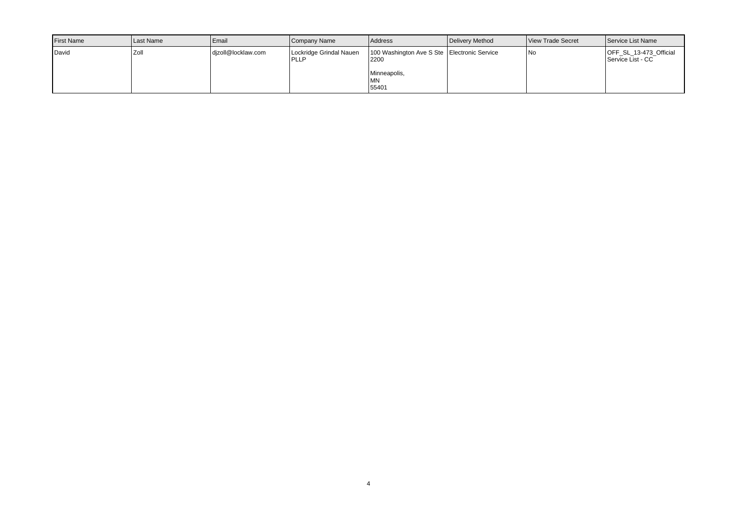| <b>I</b> First Name | Last Name | <b>LEmail</b>      | Company Name                     | <b>Address</b>                                                                              | Delivery Method | View Trade Secret | Service List Name                           |
|---------------------|-----------|--------------------|----------------------------------|---------------------------------------------------------------------------------------------|-----------------|-------------------|---------------------------------------------|
| David               | ı Zoll    | dizoll@locklaw.com | Lockridge Grindal Nauen<br> PLLP | 100 Washington Ave S Ste   Electronic Service<br>2200<br>Minneapolis,<br><b>MN</b><br>55401 |                 | l No              | OFF_SL_13-473_Official<br>Service List - CC |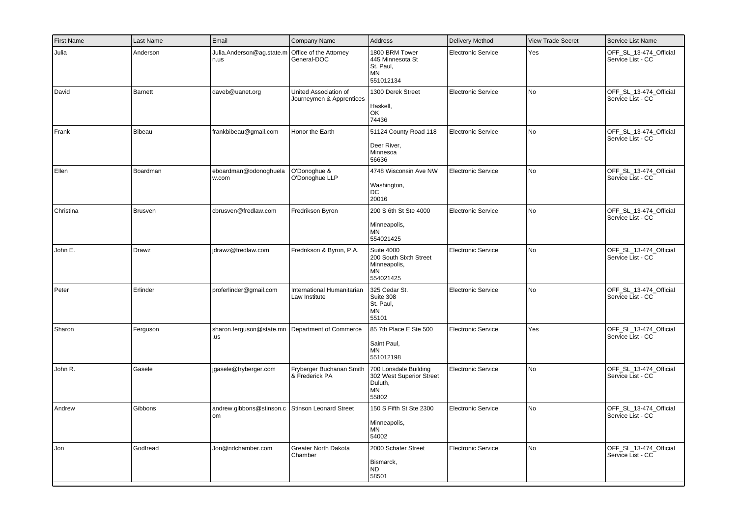| <b>First Name</b> | Last Name     | Email                             | Company Name                                      | <b>Address</b>                                                                 | <b>Delivery Method</b>    | <b>View Trade Secret</b> | Service List Name                           |
|-------------------|---------------|-----------------------------------|---------------------------------------------------|--------------------------------------------------------------------------------|---------------------------|--------------------------|---------------------------------------------|
| Julia             | Anderson      | Julia.Anderson@ag.state.m<br>n.us | Office of the Attorney<br>General-DOC             | 1800 BRM Tower<br>445 Minnesota St<br>St. Paul.<br>MN<br>551012134             | <b>Electronic Service</b> | Yes                      | OFF_SL_13-474_Official<br>Service List - CC |
| David             | Barnett       | daveb@uanet.org                   | United Association of<br>Journeymen & Apprentices | 1300 Derek Street<br>Haskell,<br>OK<br>74436                                   | <b>Electronic Service</b> | No.                      | OFF_SL_13-474_Official<br>Service List - CC |
| Frank             | <b>Bibeau</b> | frankbibeau@gmail.com             | Honor the Earth                                   | 51124 County Road 118<br>Deer River,<br>Minnesoa<br>56636                      | <b>Electronic Service</b> | No                       | OFF_SL_13-474_Official<br>Service List - CC |
| Ellen             | Boardman      | eboardman@odonoghuela<br>w.com    | O'Donoghue &<br>O'Donoghue LLP                    | 4748 Wisconsin Ave NW<br>Washington,<br>DC<br>20016                            | Electronic Service        | No                       | OFF_SL_13-474_Official<br>Service List - CC |
| Christina         | Brusven       | cbrusven@fredlaw.com              | Fredrikson Byron                                  | 200 S 6th St Ste 4000<br>Minneapolis,<br>MN<br>554021425                       | <b>Electronic Service</b> | No                       | OFF_SL_13-474_Official<br>Service List - CC |
| John E.           | Drawz         | jdrawz@fredlaw.com                | Fredrikson & Byron, P.A.                          | <b>Suite 4000</b><br>200 South Sixth Street<br>Minneapolis,<br>ΜN<br>554021425 | Electronic Service        | No.                      | OFF SL 13-474 Official<br>Service List - CC |
| Peter             | Erlinder      | proferlinder@gmail.com            | International Humanitarian<br>Law Institute       | 325 Cedar St.<br>Suite 308<br>St. Paul,<br><b>MN</b><br>55101                  | <b>Electronic Service</b> | No                       | OFF_SL_13-474_Official<br>Service List - CC |
| Sharon            | Ferguson      | sharon.ferguson@state.mn<br>.us   | Department of Commerce                            | 85 7th Place E Ste 500<br>Saint Paul,<br><b>MN</b><br>551012198                | <b>Electronic Service</b> | Yes                      | OFF_SL_13-474_Official<br>Service List - CC |
| John R.           | Gasele        | jgasele@fryberger.com             | Fryberger Buchanan Smith<br>& Frederick PA        | 700 Lonsdale Building<br>302 West Superior Street<br>Duluth,<br>MN<br>55802    | <b>Electronic Service</b> | No                       | OFF_SL_13-474_Official<br>Service List - CC |
| Andrew            | Gibbons       | andrew.gibbons@stinson.c<br>om    | <b>Stinson Leonard Street</b>                     | 150 S Fifth St Ste 2300<br>Minneapolis,<br><b>MN</b><br>54002                  | <b>Electronic Service</b> | No                       | OFF SL 13-474 Official<br>Service List - CC |
| Jon               | Godfread      | Jon@ndchamber.com                 | Greater North Dakota<br>Chamber                   | 2000 Schafer Street<br>Bismarck,<br>ND.<br>58501                               | <b>Electronic Service</b> | No                       | OFF_SL_13-474_Official<br>Service List - CC |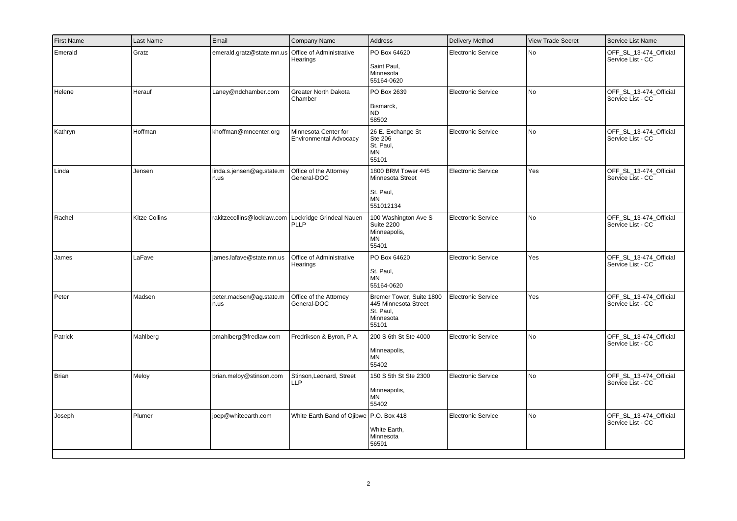| <b>First Name</b> | Last Name            | Email                             | Company Name                                                | Address                                                                             | Delivery Method           | <b>View Trade Secret</b> | Service List Name                           |
|-------------------|----------------------|-----------------------------------|-------------------------------------------------------------|-------------------------------------------------------------------------------------|---------------------------|--------------------------|---------------------------------------------|
| Emerald           | Gratz                | emerald.gratz@state.mn.us         | Office of Administrative<br>Hearings                        | PO Box 64620<br>Saint Paul,<br>Minnesota<br>55164-0620                              | <b>Electronic Service</b> | No                       | OFF SL 13-474 Official<br>Service List - CC |
| Helene            | Herauf               | Laney@ndchamber.com               | <b>Greater North Dakota</b><br>Chamber                      | PO Box 2639<br>Bismarck,<br><b>ND</b><br>58502                                      | <b>Electronic Service</b> | No                       | OFF_SL_13-474_Official<br>Service List - CC |
| Kathryn           | Hoffman              | khoffman@mncenter.org             | Minnesota Center for<br><b>Environmental Advocacy</b>       | 26 E. Exchange St<br><b>Ste 206</b><br>St. Paul,<br>MN<br>55101                     | Electronic Service        | No                       | OFF_SL_13-474_Official<br>Service List - CC |
| Linda             | Jensen               | linda.s.jensen@ag.state.m<br>n.us | Office of the Attorney<br>General-DOC                       | 1800 BRM Tower 445<br>Minnesota Street<br>St. Paul,<br><b>MN</b><br>551012134       | <b>Electronic Service</b> | Yes                      | OFF_SL_13-474_Official<br>Service List - CC |
| Rachel            | <b>Kitze Collins</b> |                                   | rakitzecollins@locklaw.com Lockridge Grindeal Nauen<br>PLLP | 100 Washington Ave S<br>Suite 2200<br>Minneapolis,<br>ΜN<br>55401                   | <b>Electronic Service</b> | No.                      | OFF SL 13-474 Official<br>Service List - CC |
| James             | LaFave               | james.lafave@state.mn.us          | Office of Administrative<br>Hearings                        | PO Box 64620<br>St. Paul,<br><b>MN</b><br>55164-0620                                | <b>Electronic Service</b> | Yes                      | OFF_SL_13-474_Official<br>Service List - CC |
| Peter             | Madsen               | peter.madsen@ag.state.m<br>n.us   | Office of the Attorney<br>General-DOC                       | Bremer Tower, Suite 1800<br>445 Minnesota Street<br>St. Paul,<br>Minnesota<br>55101 | Electronic Service        | Yes                      | OFF SL 13-474 Official<br>Service List - CC |
| Patrick           | Mahlberg             | pmahlberg@fredlaw.com             | Fredrikson & Byron, P.A.                                    | 200 S 6th St Ste 4000<br>Minneapolis,<br><b>MN</b><br>55402                         | <b>Electronic Service</b> | No                       | OFF_SL_13-474_Official<br>Service List - CC |
| Brian             | Meloy                | brian.meloy@stinson.com           | Stinson, Leonard, Street<br>LLP                             | 150 S 5th St Ste 2300<br>Minneapolis,<br>ΜN<br>55402                                | <b>Electronic Service</b> | No                       | OFF_SL_13-474_Official<br>Service List - CC |
| Joseph            | Plumer               | joep@whiteearth.com               | White Earth Band of Ojibwe P.O. Box 418                     | White Earth,<br>Minnesota<br>56591                                                  | <b>Electronic Service</b> | No                       | OFF_SL_13-474_Official<br>Service List - CC |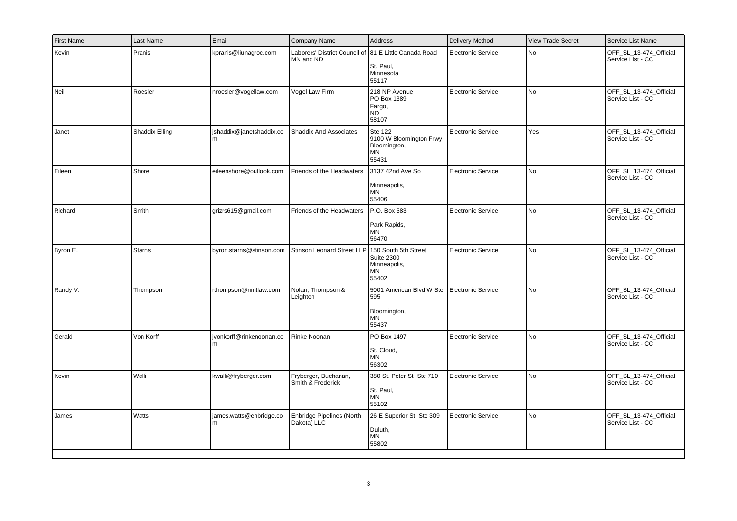| First Name | Last Name      | Email                         | Company Name                                    | Address                                                                  | Delivery Method           | <b>View Trade Secret</b> | Service List Name                           |
|------------|----------------|-------------------------------|-------------------------------------------------|--------------------------------------------------------------------------|---------------------------|--------------------------|---------------------------------------------|
| Kevin      | Pranis         | kpranis@liunagroc.com         | Laborers' District Council of<br>MN and ND      | 81 E Little Canada Road<br>St. Paul,<br>Minnesota<br>55117               | Electronic Service        | No                       | OFF SL 13-474 Official<br>Service List - CC |
| Neil       | Roesler        | nroesler@vogellaw.com         | Vogel Law Firm                                  | 218 NP Avenue<br>PO Box 1389<br>Fargo,<br><b>ND</b><br>58107             | <b>Electronic Service</b> | No                       | OFF_SL_13-474_Official<br>Service List - CC |
| Janet      | Shaddix Elling | jshaddix@janetshaddix.co      | <b>Shaddix And Associates</b>                   | Ste 122<br>9100 W Bloomington Frwy<br>Bloomington,<br>MN<br>55431        | Electronic Service        | Yes                      | OFF_SL_13-474_Official<br>Service List - CC |
| Eileen     | Shore          | eileenshore@outlook.com       | Friends of the Headwaters                       | 3137 42nd Ave So<br>Minneapolis,<br>MN<br>55406                          | Electronic Service        | No                       | OFF_SL_13-474_Official<br>Service List - CC |
| Richard    | Smith          | grizrs615@gmail.com           | Friends of the Headwaters                       | P.O. Box 583<br>Park Rapids,<br><b>MN</b><br>56470                       | Electronic Service        | No                       | OFF_SL_13-474_Official<br>Service List - CC |
| Byron E.   | <b>Starns</b>  | byron.starns@stinson.com      | <b>Stinson Leonard Street LLP</b>               | 150 South 5th Street<br><b>Suite 2300</b><br>Minneapolis,<br>ΜN<br>55402 | Electronic Service        | No                       | OFF SL 13-474 Official<br>Service List - CC |
| Randy V.   | Thompson       | rthompson@nmtlaw.com          | Nolan, Thompson &<br>Leighton                   | 5001 American Blvd W Ste<br>595<br>Bloomington,<br>ΜN<br>55437           | Electronic Service        | No                       | OFF_SL_13-474_Official<br>Service List - CC |
| Gerald     | Von Korff      | jvonkorff@rinkenoonan.co<br>m | Rinke Noonan                                    | PO Box 1497<br>St. Cloud,<br><b>MN</b><br>56302                          | <b>Electronic Service</b> | No                       | OFF_SL_13-474_Official<br>Service List - CC |
| Kevin      | Walli          | kwalli@fryberger.com          | Fryberger, Buchanan,<br>Smith & Frederick       | 380 St. Peter St Ste 710<br>St. Paul,<br>MN<br>55102                     | <b>Electronic Service</b> | No                       | OFF_SL_13-474_Official<br>Service List - CC |
| James      | Watts          | james.watts@enbridge.co<br>m  | <b>Enbridge Pipelines (North</b><br>Dakota) LLC | 26 E Superior St Ste 309<br>Duluth,<br>ΜN<br>55802                       | Electronic Service        | No                       | OFF_SL_13-474_Official<br>Service List - CC |